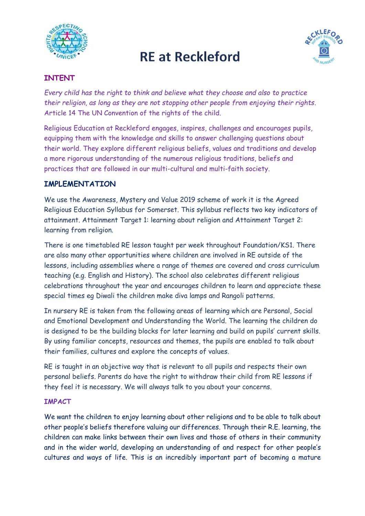

# **RE at Reckleford**



### **INTENT**

*Every child has the right to think and believe what they choose and also to practice their religion, as long as they are not stopping other people from enjoying their rights*. Article 14 The UN Convention of the rights of the child.

Religious Education at Reckleford engages, inspires, challenges and encourages pupils, equipping them with the knowledge and skills to answer challenging questions about their world. They explore different religious beliefs, values and traditions and develop a more rigorous understanding of the numerous religious traditions, beliefs and practices that are followed in our multi-cultural and multi-faith society.

### **IMPLEMENTATION**

We use the Awareness, Mystery and Value 2019 scheme of work it is the Agreed Religious Education Syllabus for Somerset. This syllabus reflects two key indicators of attainment. Attainment Target 1: learning about religion and Attainment Target 2: learning from religion.

There is one timetabled RE lesson taught per week throughout Foundation/KS1. There are also many other opportunities where children are involved in RE outside of the lessons, including assemblies where a range of themes are covered and cross curriculum teaching (e.g. English and History). The school also celebrates different religious celebrations throughout the year and encourages children to learn and appreciate these special times eg Diwali the children make diva lamps and Rangoli patterns.

In nursery RE is taken from the following areas of learning which are Personal, Social and Emotional Development and Understanding the World. The learning the children do is designed to be the building blocks for later learning and build on pupils' current skills. By using familiar concepts, resources and themes, the pupils are enabled to talk about their families, cultures and explore the concepts of values.

RE is taught in an objective way that is relevant to all pupils and respects their own personal beliefs. Parents do have the right to withdraw their child from RE lessons if they feel it is necessary. We will always talk to you about your concerns.

#### **IMPACT**

We want the children to enjoy learning about other religions and to be able to talk about other people's beliefs therefore valuing our differences. Through their R.E. learning, the children can make links between their own lives and those of others in their community and in the wider world, developing an understanding of and respect for other people's cultures and ways of life. This is an incredibly important part of becoming a mature